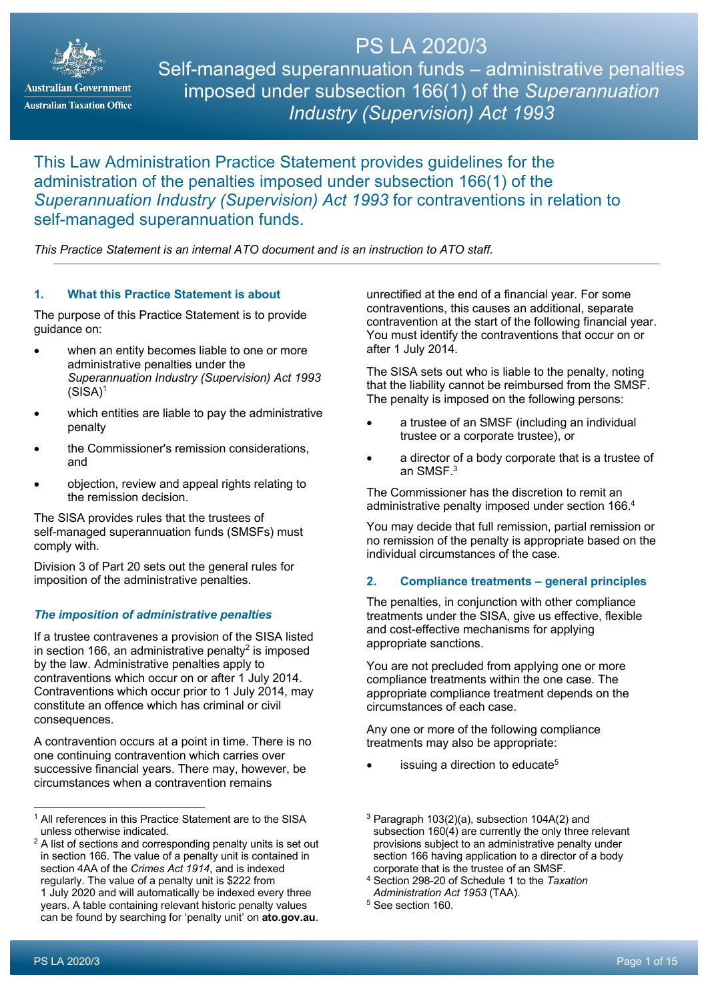

**Australian Government Australian Taxation Office** 

PS LA 2020/3 Self-managed superannuation funds – administrative penalties imposed under subsection 166(1) of the *Superannuation Industry (Supervision) Act 1993*

# This Law Administration Practice Statement provides guidelines for the administration of the penalties imposed under subsection 166(1) of the *Superannuation Industry (Supervision) Act 1993* for contraventions in relation to self-managed superannuation funds.

*This Practice Statement is an internal ATO document and is an instruction to ATO staff.*

# **1. What this Practice Statement is about**

The purpose of this Practice Statement is to provide guidance on:

- when an entity becomes liable to one or more administrative penalties under the *Superannuation Industry (Supervision) Act 1993*  $(SISA)^1$
- which entities are liable to pay the administrative penalty
- the Commissioner's remission considerations, and
- objection, review and appeal rights relating to the remission decision.

The SISA provides rules that the trustees of self-managed superannuation funds (SMSFs) must comply with.

Division 3 of Part 20 sets out the general rules for imposition of the administrative penalties.

# *The imposition of administrative penalties*

If a trustee contravenes a provision of the SISA listed in section 166, an administrative penalty<sup>2</sup> is imposed by the law. Administrative penalties apply to contraventions which occur on or after 1 July 2014. Contraventions which occur prior to 1 July 2014, may constitute an offence which has criminal or civil consequences.

A contravention occurs at a point in time. There is no one continuing contravention which carries over successive financial years. There may, however, be circumstances when a contravention remains

unrectified at the end of a financial year. For some contraventions, this causes an additional, separate contravention at the start of the following financial year. You must identify the contraventions that occur on or after 1 July 2014.

The SISA sets out who is liable to the penalty, noting that the liability cannot be reimbursed from the SMSF. The penalty is imposed on the following persons:

- a trustee of an SMSF (including an individual trustee or a corporate trustee), or
- a director of a body corporate that is a trustee of an SMSF. 3

The Commissioner has the discretion to remit an administrative penalty imposed under section 166. 4

You may decide that full remission, partial remission or no remission of the penalty is appropriate based on the individual circumstances of the case.

# **2. Compliance treatments – general principles**

The penalties, in conjunction with other compliance treatments under the SISA, give us effective, flexible and cost-effective mechanisms for applying appropriate sanctions.

You are not precluded from applying one or more compliance treatments within the one case. The appropriate compliance treatment depends on the circumstances of each case.

Any one or more of the following compliance treatments may also be appropriate:

- issuing a direction to educate $5$
- $3$  Paragraph 103(2)(a), subsection 104A(2) and subsection 160(4) are currently the only three relevant provisions subject to an administrative penalty under section 166 having application to a director of a body corporate that is the trustee of an SMSF.
- <sup>4</sup> Section 298-20 of Schedule 1 to the *Taxation Administration Act 1953* (TAA).
- <sup>5</sup> See section 160.

<sup>1</sup> All references in this Practice Statement are to the SISA unless otherwise indicated.

<sup>&</sup>lt;sup>2</sup> A list of sections and corresponding penalty units is set out in section 166. The value of a penalty unit is contained in section 4AA of the *Crimes Act 1914*, and is indexed regularly. The value of a penalty unit is \$222 from 1 July 2020 and will automatically be indexed every three years. A table containing relevant historic penalty values can be found by searching for 'penalty unit' on **ato.gov.au**.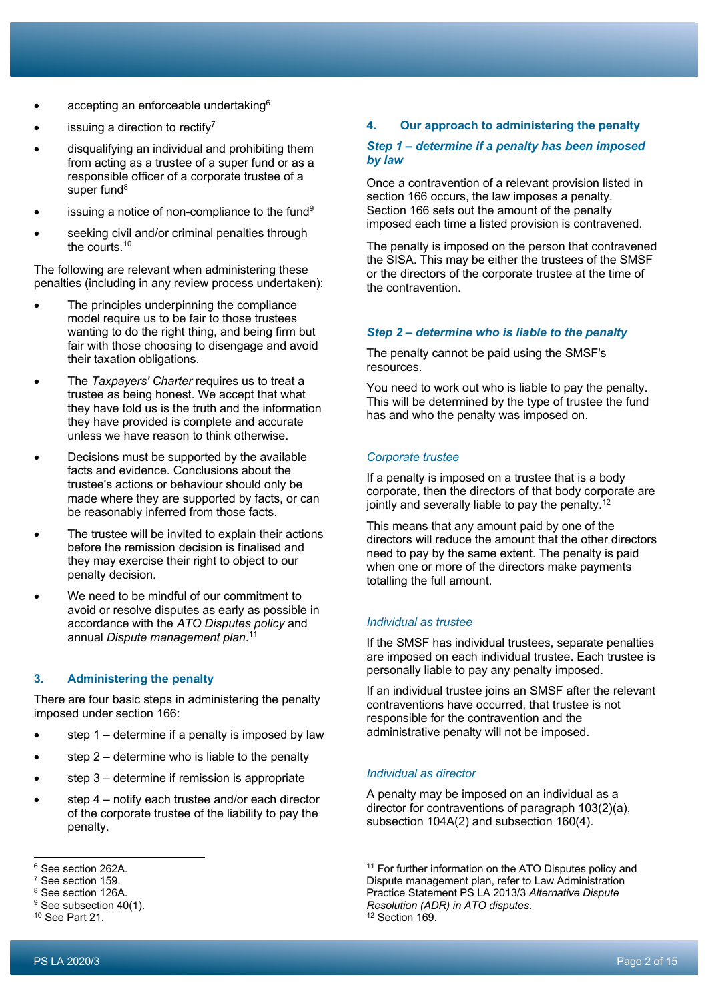- accepting an enforceable undertaking<sup>6</sup>
- issuing a direction to rectify<sup>7</sup>
- disqualifying an individual and prohibiting them from acting as a trustee of a super fund or as a responsible officer of a corporate trustee of a super fund<sup>8</sup>
- issuing a notice of non-compliance to the fund $9$
- seeking civil and/or criminal penalties through the courts. 10

The following are relevant when administering these penalties (including in any review process undertaken):

- The principles underpinning the compliance model require us to be fair to those trustees wanting to do the right thing, and being firm but fair with those choosing to disengage and avoid their taxation obligations.
- The *Taxpayers' Charter* requires us to treat a trustee as being honest. We accept that what they have told us is the truth and the information they have provided is complete and accurate unless we have reason to think otherwise.
- Decisions must be supported by the available facts and evidence. Conclusions about the trustee's actions or behaviour should only be made where they are supported by facts, or can be reasonably inferred from those facts.
- The trustee will be invited to explain their actions before the remission decision is finalised and they may exercise their right to object to our penalty decision.
- We need to be mindful of our commitment to avoid or resolve disputes as early as possible in accordance with the *ATO Disputes policy* and annual *Dispute management plan*. 11

# **3. Administering the penalty**

There are four basic steps in administering the penalty imposed under section 166:

- step  $1$  determine if a penalty is imposed by law
- step  $2$  determine who is liable to the penalty
- step 3 determine if remission is appropriate
- step  $4$  notify each trustee and/or each director of the corporate trustee of the liability to pay the penalty.

### **4. Our approach to administering the penalty**

#### *Step 1 – determine if a penalty has been imposed by law*

Once a contravention of a relevant provision listed in section 166 occurs, the law imposes a penalty. Section 166 sets out the amount of the penalty imposed each time a listed provision is contravened.

The penalty is imposed on the person that contravened the SISA. This may be either the trustees of the SMSF or the directors of the corporate trustee at the time of the contravention.

#### *Step 2 – determine who is liable to the penalty*

The penalty cannot be paid using the SMSF's resources.

You need to work out who is liable to pay the penalty. This will be determined by the type of trustee the fund has and who the penalty was imposed on.

#### *Corporate trustee*

If a penalty is imposed on a trustee that is a body corporate, then the directors of that body corporate are jointly and severally liable to pay the penalty.<sup>12</sup>

This means that any amount paid by one of the directors will reduce the amount that the other directors need to pay by the same extent. The penalty is paid when one or more of the directors make payments totalling the full amount.

# *Individual as trustee*

If the SMSF has individual trustees, separate penalties are imposed on each individual trustee. Each trustee is personally liable to pay any penalty imposed.

If an individual trustee joins an SMSF after the relevant contraventions have occurred, that trustee is not responsible for the contravention and the administrative penalty will not be imposed.

#### *Individual as director*

A penalty may be imposed on an individual as a director for contraventions of paragraph 103(2)(a), subsection 104A(2) and subsection 160(4).

<sup>11</sup> For further information on the ATO Disputes policy and Dispute management plan, refer to Law Administration Practice Statement PS LA 2013/3 *Alternative Dispute Resolution (ADR) in ATO disputes*. <sup>12</sup> Section 169.

<sup>6</sup> See section 262A.

<sup>7</sup> See section 159.

<sup>&</sup>lt;sup>8</sup> See section 126A.

<sup>&</sup>lt;sup>9</sup> See subsection 40(1).

<sup>10</sup> See Part 21.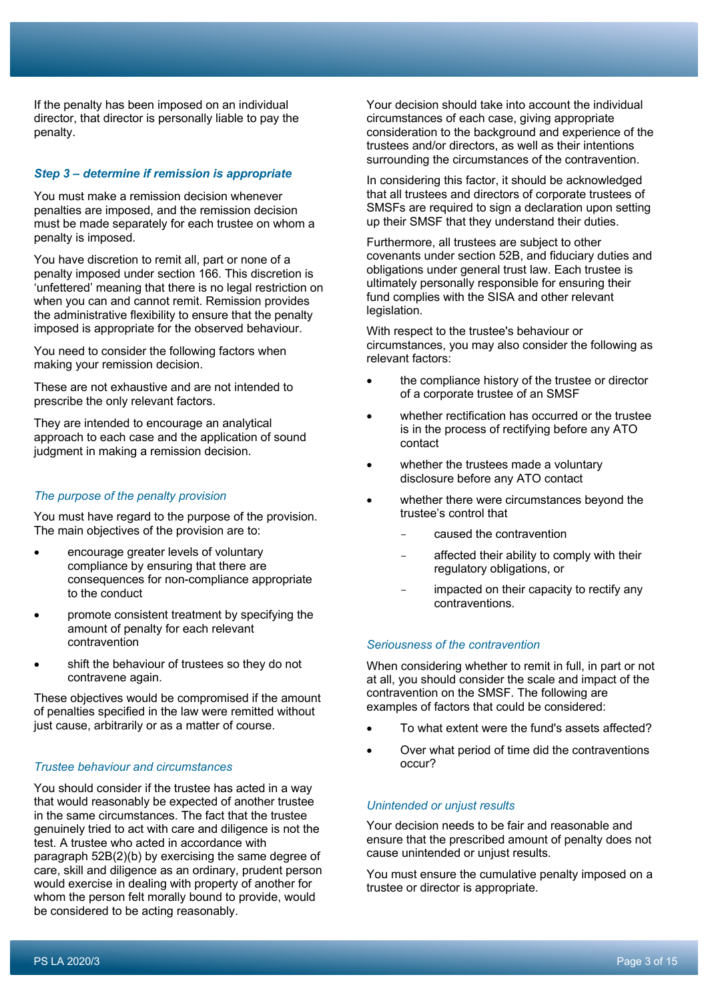If the penalty has been imposed on an individual director, that director is personally liable to pay the penalty.

### *Step 3 – determine if remission is appropriate*

You must make a remission decision whenever penalties are imposed, and the remission decision must be made separately for each trustee on whom a penalty is imposed.

You have discretion to remit all, part or none of a penalty imposed under section 166. This discretion is 'unfettered' meaning that there is no legal restriction on when you can and cannot remit. Remission provides the administrative flexibility to ensure that the penalty imposed is appropriate for the observed behaviour.

You need to consider the following factors when making your remission decision.

These are not exhaustive and are not intended to prescribe the only relevant factors.

They are intended to encourage an analytical approach to each case and the application of sound judgment in making a remission decision.

#### *The purpose of the penalty provision*

You must have regard to the purpose of the provision. The main objectives of the provision are to:

- encourage greater levels of voluntary compliance by ensuring that there are consequences for non-compliance appropriate to the conduct
- promote consistent treatment by specifying the amount of penalty for each relevant contravention
- shift the behaviour of trustees so they do not contravene again.

These objectives would be compromised if the amount of penalties specified in the law were remitted without just cause, arbitrarily or as a matter of course.

#### *Trustee behaviour and circumstances*

You should consider if the trustee has acted in a way that would reasonably be expected of another trustee in the same circumstances. The fact that the trustee genuinely tried to act with care and diligence is not the test. A trustee who acted in accordance with paragraph 52B(2)(b) by exercising the same degree of care, skill and diligence as an ordinary, prudent person would exercise in dealing with property of another for whom the person felt morally bound to provide, would be considered to be acting reasonably.

Your decision should take into account the individual circumstances of each case, giving appropriate consideration to the background and experience of the trustees and/or directors, as well as their intentions surrounding the circumstances of the contravention.

In considering this factor, it should be acknowledged that all trustees and directors of corporate trustees of SMSFs are required to sign a declaration upon setting up their SMSF that they understand their duties.

Furthermore, all trustees are subject to other covenants under section 52B, and fiduciary duties and obligations under general trust law. Each trustee is ultimately personally responsible for ensuring their fund complies with the SISA and other relevant legislation.

With respect to the trustee's behaviour or circumstances, you may also consider the following as relevant factors:

- the compliance history of the trustee or director of a corporate trustee of an SMSF
- whether rectification has occurred or the trustee is in the process of rectifying before any ATO contact
- whether the trustees made a voluntary disclosure before any ATO contact
- whether there were circumstances beyond the trustee's control that
	- caused the contravention
	- affected their ability to comply with their regulatory obligations, or
	- impacted on their capacity to rectify any contraventions.

#### *Seriousness of the contravention*

When considering whether to remit in full, in part or not at all, you should consider the scale and impact of the contravention on the SMSF. The following are examples of factors that could be considered:

- To what extent were the fund's assets affected?
- Over what period of time did the contraventions occur?

#### *Unintended or unjust results*

Your decision needs to be fair and reasonable and ensure that the prescribed amount of penalty does not cause unintended or unjust results.

You must ensure the cumulative penalty imposed on a trustee or director is appropriate.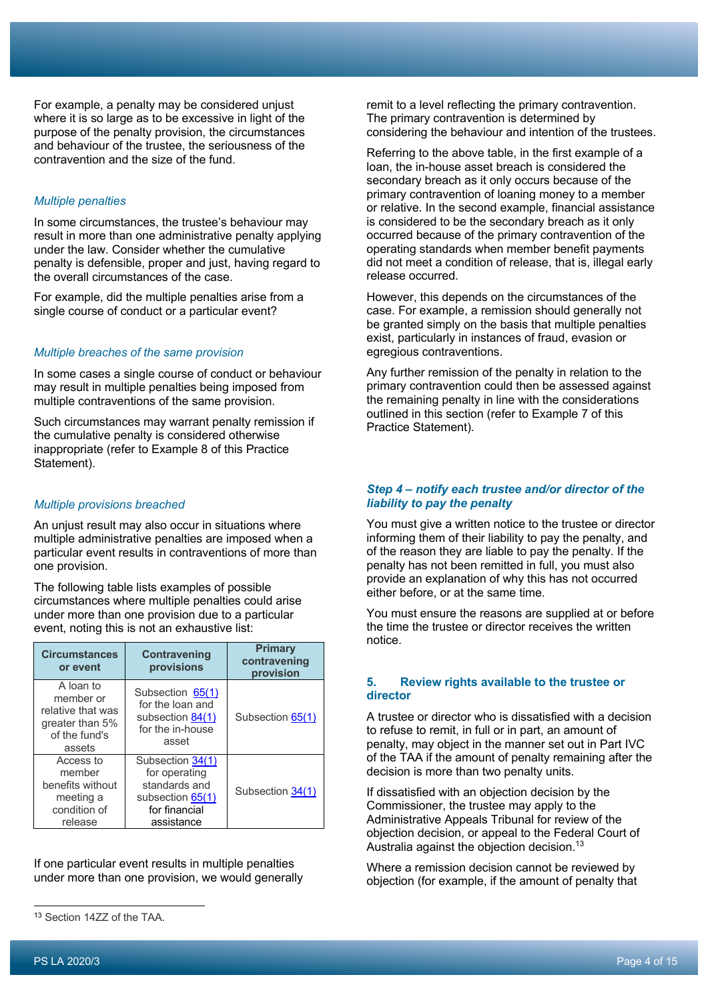For example, a penalty may be considered unjust where it is so large as to be excessive in light of the purpose of the penalty provision, the circumstances and behaviour of the trustee, the seriousness of the contravention and the size of the fund.

# *Multiple penalties*

In some circumstances, the trustee's behaviour may result in more than one administrative penalty applying under the law. Consider whether the cumulative penalty is defensible, proper and just, having regard to the overall circumstances of the case.

For example, did the multiple penalties arise from a single course of conduct or a particular event?

# *Multiple breaches of the same provision*

In some cases a single course of conduct or behaviour may result in multiple penalties being imposed from multiple contraventions of the same provision.

Such circumstances may warrant penalty remission if the cumulative penalty is considered otherwise inappropriate (refer to Example 8 of this Practice Statement).

# *Multiple provisions breached*

An unjust result may also occur in situations where multiple administrative penalties are imposed when a particular event results in contraventions of more than one provision.

The following table lists examples of possible circumstances where multiple penalties could arise under more than one provision due to a particular event, noting this is not an exhaustive list:

| <b>Circumstances</b><br>or event                                                          | <b>Contravening</b><br>provisions                                                                     | <b>Primary</b><br>contravening<br>provision |
|-------------------------------------------------------------------------------------------|-------------------------------------------------------------------------------------------------------|---------------------------------------------|
| A loan to<br>member or<br>relative that was<br>greater than 5%<br>of the fund's<br>assets | Subsection 65(1)<br>for the loan and<br>subsection 84(1)<br>for the in-house<br>asset                 | Subsection 65(1)                            |
| Access to<br>member<br>benefits without<br>meeting a<br>condition of<br>release           | Subsection 34(1)<br>for operating<br>standards and<br>subsection 65(1)<br>for financial<br>assistance | Subsection 34(1)                            |

If one particular event results in multiple penalties under more than one provision, we would generally remit to a level reflecting the primary contravention. The primary contravention is determined by considering the behaviour and intention of the trustees.

Referring to the above table, in the first example of a loan, the in-house asset breach is considered the secondary breach as it only occurs because of the primary contravention of loaning money to a member or relative. In the second example, financial assistance is considered to be the secondary breach as it only occurred because of the primary contravention of the operating standards when member benefit payments did not meet a condition of release, that is, illegal early release occurred.

However, this depends on the circumstances of the case. For example, a remission should generally not be granted simply on the basis that multiple penalties exist, particularly in instances of fraud, evasion or egregious contraventions.

Any further remission of the penalty in relation to the primary contravention could then be assessed against the remaining penalty in line with the considerations outlined in this section (refer to Example 7 of this Practice Statement).

# *Step 4 – notify each trustee and/or director of the liability to pay the penalty*

You must give a written notice to the trustee or director informing them of their liability to pay the penalty, and of the reason they are liable to pay the penalty. If the penalty has not been remitted in full, you must also provide an explanation of why this has not occurred either before, or at the same time.

You must ensure the reasons are supplied at or before the time the trustee or director receives the written notice.

# **5. Review rights available to the trustee or director**

A trustee or director who is dissatisfied with a decision to refuse to remit, in full or in part, an amount of penalty, may object in the manner set out in Part IVC of the TAA if the amount of penalty remaining after the decision is more than two penalty units.

If dissatisfied with an objection decision by the Commissioner, the trustee may apply to the Administrative Appeals Tribunal for review of the objection decision, or appeal to the Federal Court of Australia against the objection decision.<sup>13</sup>

Where a remission decision cannot be reviewed by objection (for example, if the amount of penalty that

<sup>13</sup> Section 14ZZ of the TAA.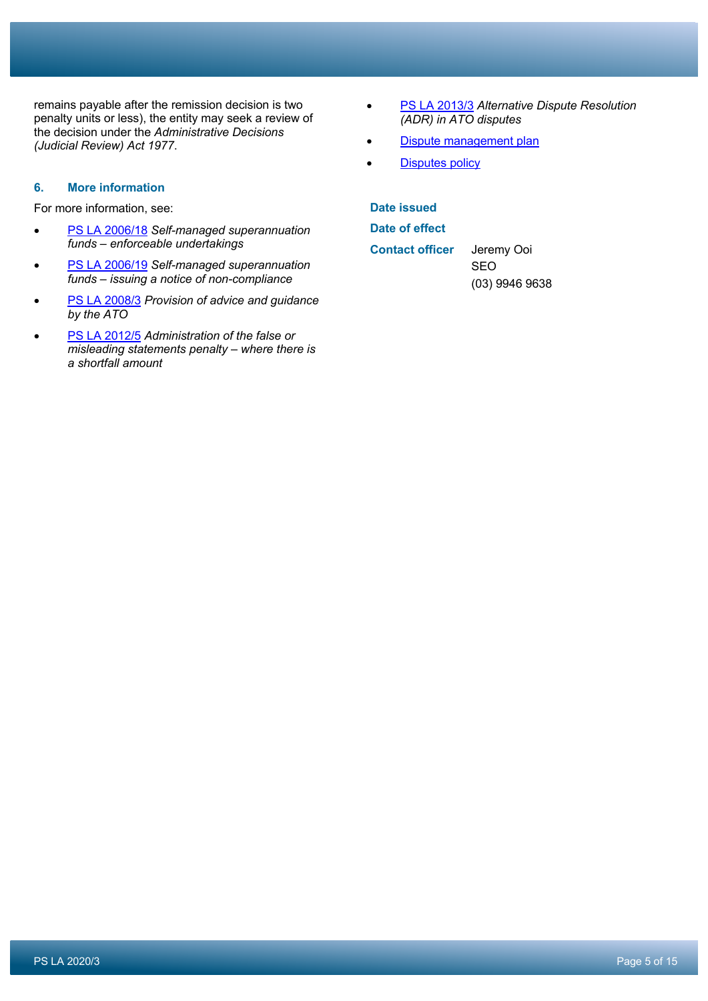remains payable after the remission decision is two penalty units or less), the entity may seek a review of the decision under the *Administrative Decisions (Judicial Review) Act 1977*.

# **6. More information**

For more information, see:

- PS LA 2006/18 *Self-managed superannuation funds – enforceable undertakings*
- PS LA 2006/19 *Self-managed superannuation funds – issuing a notice of non-compliance*
- PS LA 2008/3 *Provision of advice and guidance by the ATO*
- PS LA 2012/5 *Administration of the false or misleading statements penalty – where there is a shortfall amount*
- PS LA 2013/3 *Alternative Dispute Resolution (ADR) in ATO disputes*
- Dispute management plan
- **Disputes policy**

| Date issued            |                  |
|------------------------|------------------|
| Date of effect         |                  |
| <b>Contact officer</b> | Jeremy Ooi       |
|                        | <b>SEO</b>       |
|                        | $(03)$ 9946 9638 |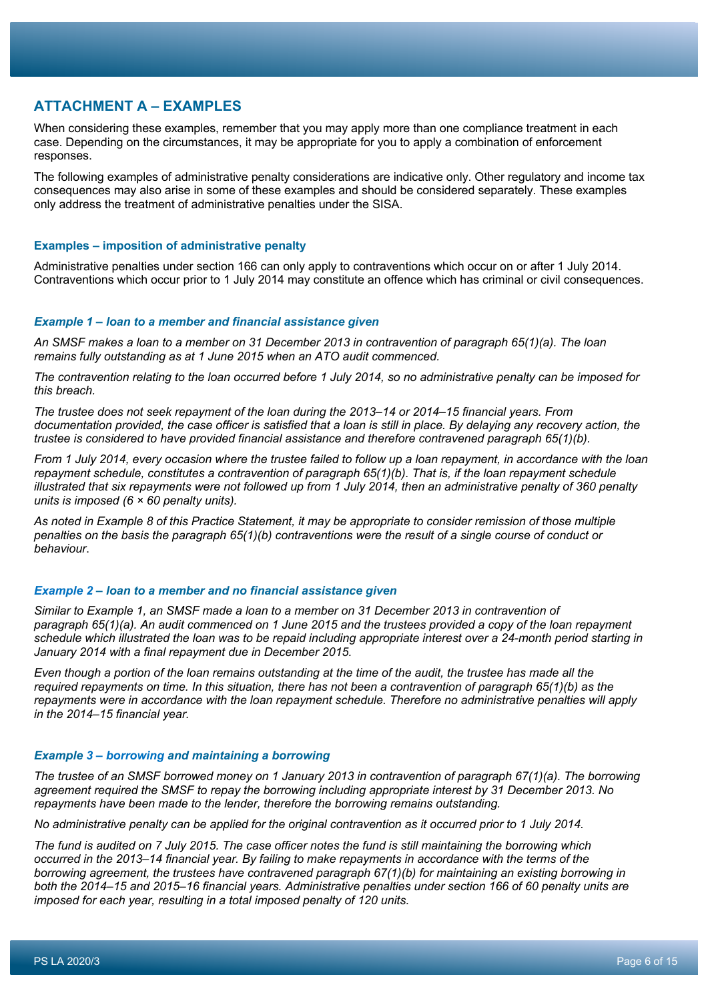# **ATTACHMENT A – EXAMPLES**

When considering these examples, remember that you may apply more than one compliance treatment in each case. Depending on the circumstances, it may be appropriate for you to apply a combination of enforcement responses.

The following examples of administrative penalty considerations are indicative only. Other regulatory and income tax consequences may also arise in some of these examples and should be considered separately. These examples only address the treatment of administrative penalties under the SISA.

#### **Examples – imposition of administrative penalty**

Administrative penalties under section 166 can only apply to contraventions which occur on or after 1 July 2014. Contraventions which occur prior to 1 July 2014 may constitute an offence which has criminal or civil consequences.

#### *Example 1 – loan to a member and financial assistance given*

*An SMSF makes a loan to a member on 31 December 2013 in contravention of paragraph 65(1)(a). The loan remains fully outstanding as at 1 June 2015 when an ATO audit commenced.*

*The contravention relating to the loan occurred before 1 July 2014, so no administrative penalty can be imposed for this breach.*

*The trustee does not seek repayment of the loan during the 2013–14 or 2014–15 financial years. From documentation provided, the case officer is satisfied that a loan is still in place. By delaying any recovery action, the trustee is considered to have provided financial assistance and therefore contravened paragraph 65(1)(b).*

*From 1 July 2014, every occasion where the trustee failed to follow up a loan repayment, in accordance with the loan repayment schedule, constitutes a contravention of paragraph 65(1)(b). That is, if the loan repayment schedule illustrated that six repayments were not followed up from 1 July 2014, then an administrative penalty of 360 penalty units is imposed (6 × 60 penalty units).*

*As noted in Example 8 of this Practice Statement, it may be appropriate to consider remission of those multiple penalties on the basis the paragraph 65(1)(b) contraventions were the result of a single course of conduct or behaviour*.

#### *Example 2 – loan to a member and no financial assistance given*

*Similar to Example 1, an SMSF made a loan to a member on 31 December 2013 in contravention of paragraph 65(1)(a). An audit commenced on 1 June 2015 and the trustees provided a copy of the loan repayment schedule which illustrated the loan was to be repaid including appropriate interest over a 24-month period starting in January 2014 with a final repayment due in December 2015.*

*Even though a portion of the loan remains outstanding at the time of the audit, the trustee has made all the required repayments on time. In this situation, there has not been a contravention of paragraph 65(1)(b) as the repayments were in accordance with the loan repayment schedule. Therefore no administrative penalties will apply in the 2014–15 financial year.*

#### *Example 3 – borrowing and maintaining a borrowing*

*The trustee of an SMSF borrowed money on 1 January 2013 in contravention of paragraph 67(1)(a). The borrowing agreement required the SMSF to repay the borrowing including appropriate interest by 31 December 2013. No repayments have been made to the lender, therefore the borrowing remains outstanding.*

*No administrative penalty can be applied for the original contravention as it occurred prior to 1 July 2014.*

*The fund is audited on 7 July 2015. The case officer notes the fund is still maintaining the borrowing which occurred in the 2013–14 financial year. By failing to make repayments in accordance with the terms of the borrowing agreement, the trustees have contravened paragraph 67(1)(b) for maintaining an existing borrowing in both the 2014–15 and 2015–16 financial years. Administrative penalties under section 166 of 60 penalty units are imposed for each year, resulting in a total imposed penalty of 120 units.*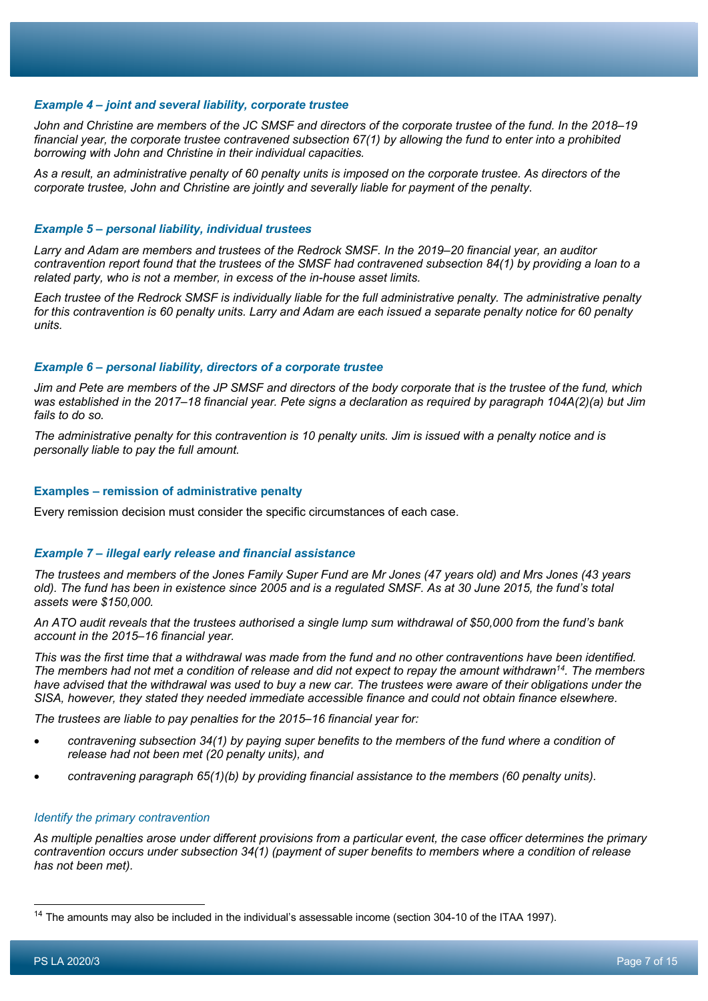#### *Example 4 – joint and several liability, corporate trustee*

*John and Christine are members of the JC SMSF and directors of the corporate trustee of the fund. In the 2018–19 financial year, the corporate trustee contravened subsection 67(1) by allowing the fund to enter into a prohibited borrowing with John and Christine in their individual capacities.*

*As a result, an administrative penalty of 60 penalty units is imposed on the corporate trustee. As directors of the corporate trustee, John and Christine are jointly and severally liable for payment of the penalty*.

#### *Example 5 – personal liability, individual trustees*

*Larry and Adam are members and trustees of the Redrock SMSF. In the 2019–20 financial year, an auditor contravention report found that the trustees of the SMSF had contravened subsection 84(1) by providing a loan to a related party, who is not a member, in excess of the in-house asset limits.*

*Each trustee of the Redrock SMSF is individually liable for the full administrative penalty. The administrative penalty for this contravention is 60 penalty units. Larry and Adam are each issued a separate penalty notice for 60 penalty units.*

#### *Example 6 – personal liability, directors of a corporate trustee*

*Jim and Pete are members of the JP SMSF and directors of the body corporate that is the trustee of the fund, which was established in the 2017–18 financial year. Pete signs a declaration as required by paragraph 104A(2)(a) but Jim fails to do so.*

*The administrative penalty for this contravention is 10 penalty units. Jim is issued with a penalty notice and is personally liable to pay the full amount.*

#### **Examples – remission of administrative penalty**

Every remission decision must consider the specific circumstances of each case.

#### *Example 7 – illegal early release and financial assistance*

*The trustees and members of the Jones Family Super Fund are Mr Jones (47 years old) and Mrs Jones (43 years old). The fund has been in existence since 2005 and is a regulated SMSF. As at 30 June 2015, the fund's total assets were \$150,000.*

*An ATO audit reveals that the trustees authorised a single lump sum withdrawal of \$50,000 from the fund's bank account in the 2015–16 financial year.*

*This was the first time that a withdrawal was made from the fund and no other contraventions have been identified. The members had not met a condition of release and did not expect to repay the amount withdrawn14. The members have advised that the withdrawal was used to buy a new car. The trustees were aware of their obligations under the SISA, however, they stated they needed immediate accessible finance and could not obtain finance elsewhere.*

*The trustees are liable to pay penalties for the 2015–16 financial year for:*

- *contravening subsection 34(1) by paying super benefits to the members of the fund where a condition of release had not been met (20 penalty units), and*
- *contravening paragraph 65(1)(b) by providing financial assistance to the members (60 penalty units).*

#### *Identify the primary contravention*

*As multiple penalties arose under different provisions from a particular event, the case officer determines the primary contravention occurs under subsection 34(1) (payment of super benefits to members where a condition of release has not been met).*

<sup>&</sup>lt;sup>14</sup> The amounts may also be included in the individual's assessable income (section 304-10 of the ITAA 1997).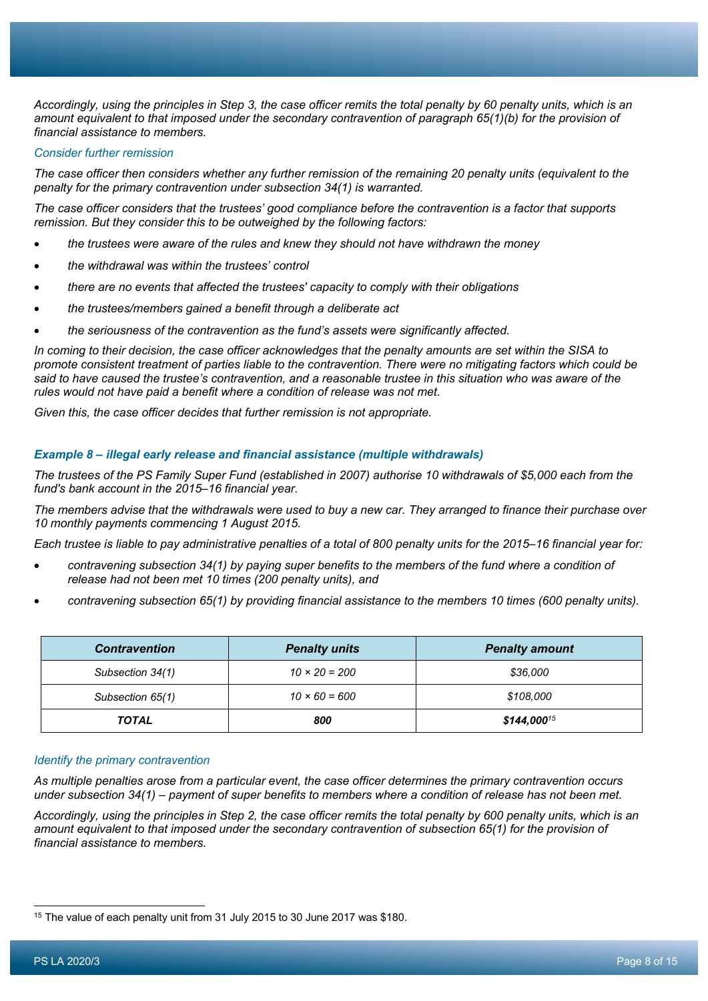*Accordingly, using the principles in Step 3, the case officer remits the total penalty by 60 penalty units, which is an amount equivalent to that imposed under the secondary contravention of paragraph 65(1)(b) for the provision of financial assistance to members.*

### *Consider further remission*

*The case officer then considers whether any further remission of the remaining 20 penalty units (equivalent to the penalty for the primary contravention under subsection 34(1) is warranted.*

*The case officer considers that the trustees' good compliance before the contravention is a factor that supports remission. But they consider this to be outweighed by the following factors:*

- *the trustees were aware of the rules and knew they should not have withdrawn the money*
- *the withdrawal was within the trustees' control*
- *there are no events that affected the trustees' capacity to comply with their obligations*
- *the trustees/members gained a benefit through a deliberate act*
- *the seriousness of the contravention as the fund's assets were significantly affected.*

*In coming to their decision, the case officer acknowledges that the penalty amounts are set within the SISA to promote consistent treatment of parties liable to the contravention. There were no mitigating factors which could be said to have caused the trustee's contravention, and a reasonable trustee in this situation who was aware of the rules would not have paid a benefit where a condition of release was not met.*

*Given this, the case officer decides that further remission is not appropriate.*

#### *Example 8 – illegal early release and financial assistance (multiple withdrawals)*

*The trustees of the PS Family Super Fund (established in 2007) authorise 10 withdrawals of \$5,000 each from the fund's bank account in the 2015–16 financial year.*

*The members advise that the withdrawals were used to buy a new car. They arranged to finance their purchase over 10 monthly payments commencing 1 August 2015.*

*Each trustee is liable to pay administrative penalties of a total of 800 penalty units for the 2015–16 financial year for:*

- *contravening subsection 34(1) by paying super benefits to the members of the fund where a condition of release had not been met 10 times (200 penalty units), and*
- *contravening subsection 65(1) by providing financial assistance to the members 10 times (600 penalty units).*

| <b>Contravention</b> | <b>Penalty units</b> | <b>Penalty amount</b> |
|----------------------|----------------------|-----------------------|
| Subsection 34(1)     | $10 \times 20 = 200$ | \$36,000              |
| Subsection 65(1)     | $10 \times 60 = 600$ | \$108,000             |
| <b>TOTAL</b>         | 800                  | $$144,000^{15}$       |

#### *Identify the primary contravention*

*As multiple penalties arose from a particular event, the case officer determines the primary contravention occurs under subsection 34(1) – payment of super benefits to members where a condition of release has not been met.*

*Accordingly, using the principles in Step 2, the case officer remits the total penalty by 600 penalty units, which is an amount equivalent to that imposed under the secondary contravention of subsection 65(1) for the provision of financial assistance to members.*

<sup>15</sup> The value of each penalty unit from 31 July 2015 to 30 June 2017 was \$180.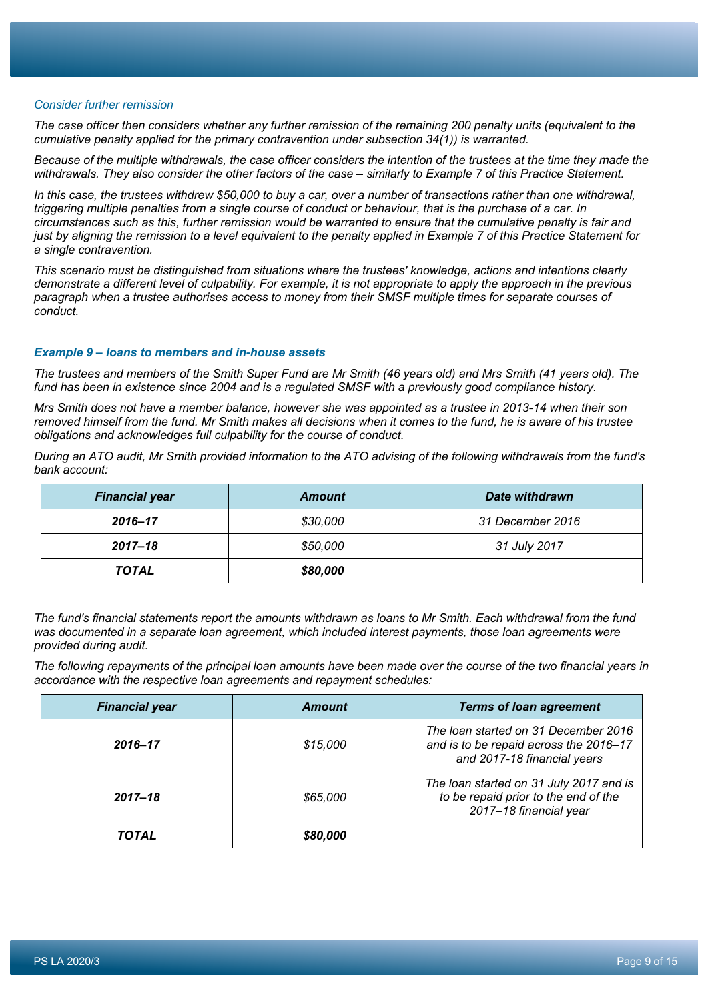#### *Consider further remission*

*The case officer then considers whether any further remission of the remaining 200 penalty units (equivalent to the cumulative penalty applied for the primary contravention under subsection 34(1)) is warranted.*

*Because of the multiple withdrawals, the case officer considers the intention of the trustees at the time they made the withdrawals. They also consider the other factors of the case – similarly to Example 7 of this Practice Statement.*

*In this case, the trustees withdrew \$50,000 to buy a car, over a number of transactions rather than one withdrawal, triggering multiple penalties from a single course of conduct or behaviour, that is the purchase of a car. In circumstances such as this, further remission would be warranted to ensure that the cumulative penalty is fair and just by aligning the remission to a level equivalent to the penalty applied in Example 7 of this Practice Statement for a single contravention.*

*This scenario must be distinguished from situations where the trustees' knowledge, actions and intentions clearly demonstrate a different level of culpability. For example, it is not appropriate to apply the approach in the previous paragraph when a trustee authorises access to money from their SMSF multiple times for separate courses of conduct.*

#### *Example 9 – loans to members and in-house assets*

*The trustees and members of the Smith Super Fund are Mr Smith (46 years old) and Mrs Smith (41 years old). The fund has been in existence since 2004 and is a regulated SMSF with a previously good compliance history.*

*Mrs Smith does not have a member balance, however she was appointed as a trustee in 2013-14 when their son removed himself from the fund. Mr Smith makes all decisions when it comes to the fund, he is aware of his trustee obligations and acknowledges full culpability for the course of conduct.*

*During an ATO audit, Mr Smith provided information to the ATO advising of the following withdrawals from the fund's bank account:*

| <b>Financial year</b> | <b>Amount</b> | Date withdrawn   |
|-----------------------|---------------|------------------|
| 2016–17               | \$30,000      | 31 December 2016 |
| $2017 - 18$           | \$50,000      | 31 July 2017     |
| <b>TOTAL</b>          | \$80,000      |                  |

*The fund's financial statements report the amounts withdrawn as loans to Mr Smith. Each withdrawal from the fund was documented in a separate loan agreement, which included interest payments, those loan agreements were provided during audit.*

*The following repayments of the principal loan amounts have been made over the course of the two financial years in accordance with the respective loan agreements and repayment schedules:*

| <b>Financial year</b> | <b>Amount</b> | <b>Terms of loan agreement</b>                                                                                |
|-----------------------|---------------|---------------------------------------------------------------------------------------------------------------|
| 2016-17               | \$15,000      | The loan started on 31 December 2016<br>and is to be repaid across the 2016-17<br>and 2017-18 financial years |
| $2017 - 18$           | \$65,000      | The loan started on 31 July 2017 and is<br>to be repaid prior to the end of the<br>2017-18 financial year     |
| TOTAL                 | \$80,000      |                                                                                                               |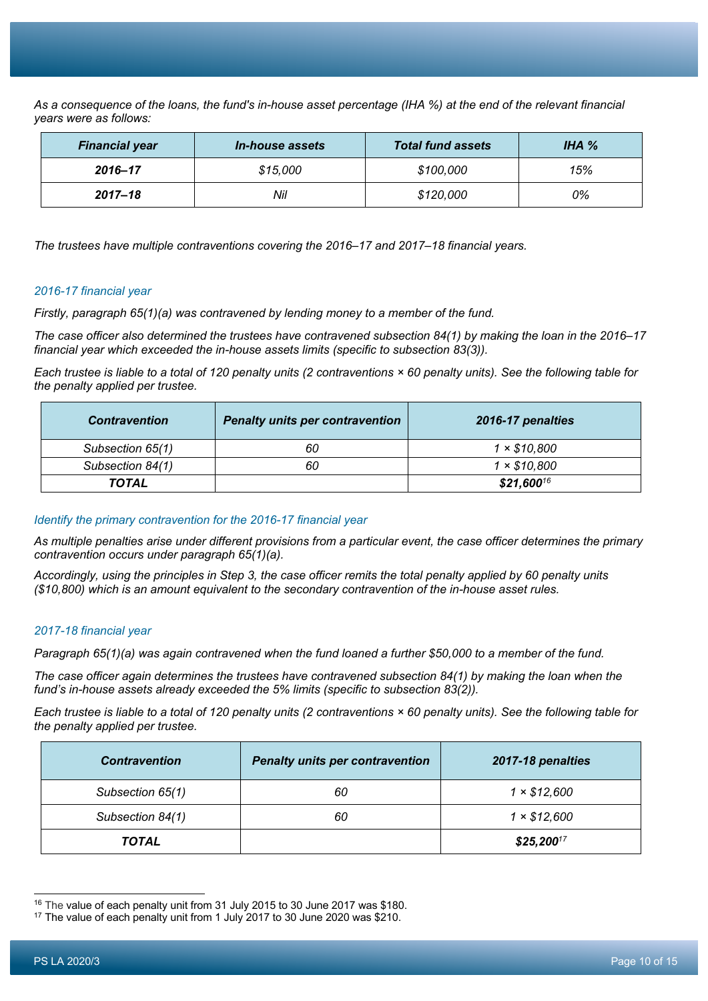*As a consequence of the loans, the fund's in-house asset percentage (IHA %) at the end of the relevant financial years were as follows:*

| <b>Financial year</b> | <i>In-house assets</i> | <b>Total fund assets</b> | IHA $%$ |
|-----------------------|------------------------|--------------------------|---------|
| 2016-17               | \$15,000               | \$100,000                | 15%     |
| $2017 - 18$           | Nil                    | \$120,000                | 0%      |

*The trustees have multiple contraventions covering the 2016–17 and 2017–18 financial years.*

#### *2016-17 financial year*

*Firstly, paragraph 65(1)(a) was contravened by lending money to a member of the fund.*

*The case officer also determined the trustees have contravened subsection 84(1) by making the loan in the 2016–17 financial year which exceeded the in-house assets limits (specific to subsection 83(3)).*

*Each trustee is liable to a total of 120 penalty units (2 contraventions × 60 penalty units). See the following table for the penalty applied per trustee.*

| <b>Contravention</b> | <b>Penalty units per contravention</b> | 2016-17 penalties  |
|----------------------|----------------------------------------|--------------------|
| Subsection 65(1)     | 60                                     | $1 \times $10,800$ |
| Subsection 84(1)     | 60                                     | $1 \times $10,800$ |
| <b>TOTAL</b>         |                                        | $$21,600^{16}$     |

#### *Identify the primary contravention for the 2016-17 financial year*

*As multiple penalties arise under different provisions from a particular event, the case officer determines the primary contravention occurs under paragraph 65(1)(a).*

*Accordingly, using the principles in Step 3, the case officer remits the total penalty applied by 60 penalty units (\$10,800) which is an amount equivalent to the secondary contravention of the in-house asset rules.*

## *2017-18 financial year*

*Paragraph 65(1)(a) was again contravened when the fund loaned a further \$50,000 to a member of the fund.*

*The case officer again determines the trustees have contravened subsection 84(1) by making the loan when the fund's in-house assets already exceeded the 5% limits (specific to subsection 83(2)).*

*Each trustee is liable to a total of 120 penalty units (2 contraventions × 60 penalty units). See the following table for the penalty applied per trustee.*

| <b>Contravention</b> | <b>Penalty units per contravention</b> | 2017-18 penalties |
|----------------------|----------------------------------------|-------------------|
| Subsection 65(1)     | 60                                     | 1 × \$12,600      |
| Subsection 84(1)     | 60                                     | 1 × \$12,600      |
| <b>TOTAL</b>         |                                        | $$25,200^{17}$    |

<sup>&</sup>lt;sup>16</sup> The value of each penalty unit from 31 July 2015 to 30 June 2017 was \$180.

<sup>&</sup>lt;sup>17</sup> The value of each penalty unit from 1 July 2017 to 30 June 2020 was \$210.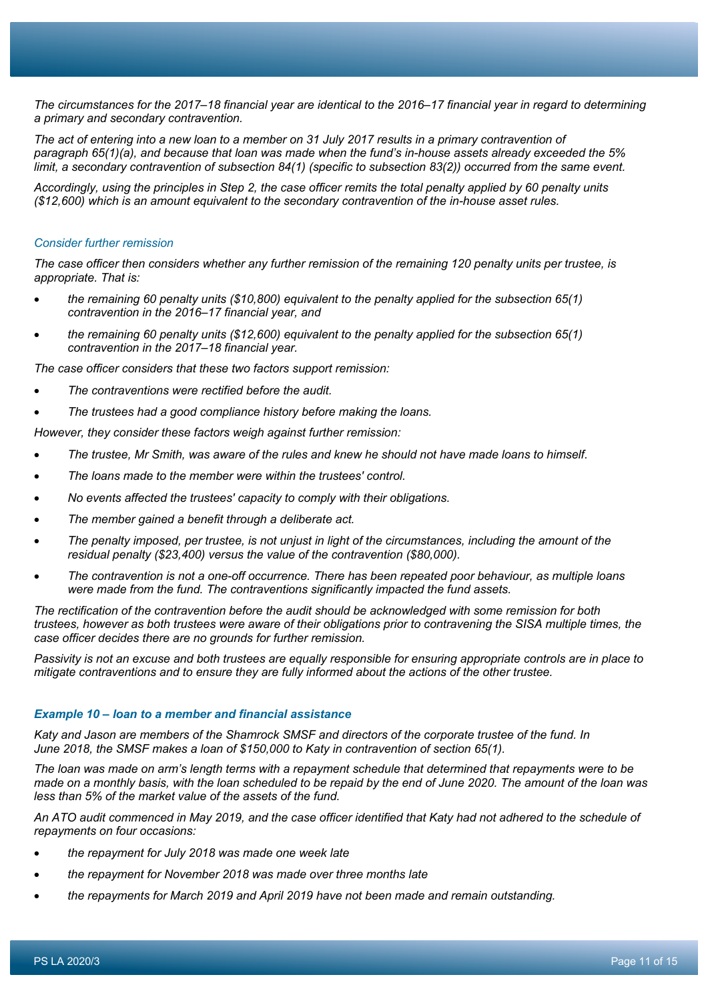*The circumstances for the 2017–18 financial year are identical to the 2016–17 financial year in regard to determining a primary and secondary contravention.*

*The act of entering into a new loan to a member on 31 July 2017 results in a primary contravention of paragraph 65(1)(a), and because that loan was made when the fund's in-house assets already exceeded the 5% limit, a secondary contravention of subsection 84(1) (specific to subsection 83(2)) occurred from the same event.*

*Accordingly, using the principles in Step 2, the case officer remits the total penalty applied by 60 penalty units (\$12,600) which is an amount equivalent to the secondary contravention of the in-house asset rules.*

#### *Consider further remission*

*The case officer then considers whether any further remission of the remaining 120 penalty units per trustee, is appropriate. That is:*

- *the remaining 60 penalty units (\$10,800) equivalent to the penalty applied for the subsection 65(1) contravention in the 2016–17 financial year, and*
- *the remaining 60 penalty units (\$12,600) equivalent to the penalty applied for the subsection 65(1) contravention in the 2017–18 financial year.*

*The case officer considers that these two factors support remission:*

- *The contraventions were rectified before the audit.*
- *The trustees had a good compliance history before making the loans.*

*However, they consider these factors weigh against further remission:*

- *The trustee, Mr Smith, was aware of the rules and knew he should not have made loans to himself.*
- *The loans made to the member were within the trustees' control.*
- *No events affected the trustees' capacity to comply with their obligations.*
- *The member gained a benefit through a deliberate act.*
- *The penalty imposed, per trustee, is not unjust in light of the circumstances, including the amount of the residual penalty (\$23,400) versus the value of the contravention (\$80,000).*
- *The contravention is not a one-off occurrence. There has been repeated poor behaviour, as multiple loans were made from the fund. The contraventions significantly impacted the fund assets.*

*The rectification of the contravention before the audit should be acknowledged with some remission for both trustees, however as both trustees were aware of their obligations prior to contravening the SISA multiple times, the case officer decides there are no grounds for further remission.*

*Passivity is not an excuse and both trustees are equally responsible for ensuring appropriate controls are in place to mitigate contraventions and to ensure they are fully informed about the actions of the other trustee.*

#### *Example 10 – loan to a member and financial assistance*

*Katy and Jason are members of the Shamrock SMSF and directors of the corporate trustee of the fund. In June 2018, the SMSF makes a loan of \$150,000 to Katy in contravention of section 65(1).*

*The loan was made on arm's length terms with a repayment schedule that determined that repayments were to be made on a monthly basis, with the loan scheduled to be repaid by the end of June 2020. The amount of the loan was less than 5% of the market value of the assets of the fund.*

*An ATO audit commenced in May 2019, and the case officer identified that Katy had not adhered to the schedule of repayments on four occasions:*

- *the repayment for July 2018 was made one week late*
- *the repayment for November 2018 was made over three months late*
- *the repayments for March 2019 and April 2019 have not been made and remain outstanding.*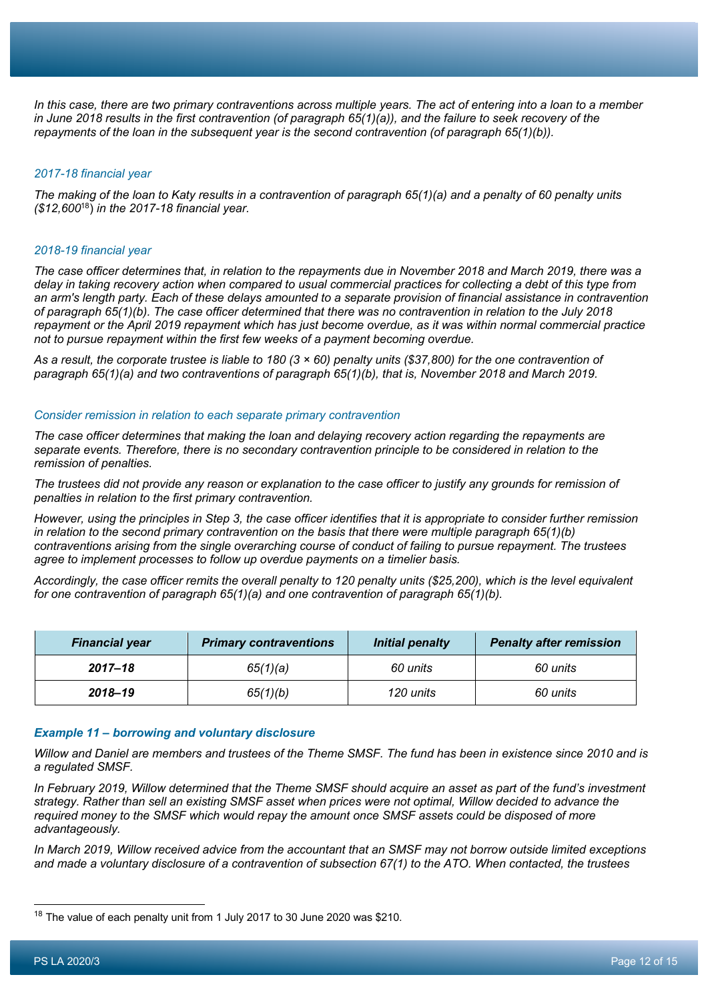*In this case, there are two primary contraventions across multiple years. The act of entering into a loan to a member in June 2018 results in the first contravention (of paragraph 65(1)(a)), and the failure to seek recovery of the repayments of the loan in the subsequent year is the second contravention (of paragraph 65(1)(b)).*

#### *2017-18 financial year*

*The making of the loan to Katy results in a contravention of paragraph 65(1)(a) and a penalty of 60 penalty units (\$12,600*18) *in the 2017-18 financial year.*

#### *2018-19 financial year*

*The case officer determines that, in relation to the repayments due in November 2018 and March 2019, there was a delay in taking recovery action when compared to usual commercial practices for collecting a debt of this type from an arm's length party. Each of these delays amounted to a separate provision of financial assistance in contravention of paragraph 65(1)(b). The case officer determined that there was no contravention in relation to the July 2018 repayment or the April 2019 repayment which has just become overdue, as it was within normal commercial practice not to pursue repayment within the first few weeks of a payment becoming overdue.*

*As a result, the corporate trustee is liable to 180 (3 × 60) penalty units (\$37,800) for the one contravention of paragraph 65(1)(a) and two contraventions of paragraph 65(1)(b), that is, November 2018 and March 2019.*

#### *Consider remission in relation to each separate primary contravention*

*The case officer determines that making the loan and delaying recovery action regarding the repayments are separate events. Therefore, there is no secondary contravention principle to be considered in relation to the remission of penalties.*

The trustees did not provide any reason or explanation to the case officer to justify any grounds for remission of *penalties in relation to the first primary contravention.*

*However, using the principles in Step 3, the case officer identifies that it is appropriate to consider further remission*  in relation to the second primary contravention on the basis that there were multiple paragraph 65(1)(b) *contraventions arising from the single overarching course of conduct of failing to pursue repayment. The trustees agree to implement processes to follow up overdue payments on a timelier basis.*

*Accordingly, the case officer remits the overall penalty to 120 penalty units (\$25,200), which is the level equivalent for one contravention of paragraph 65(1)(a) and one contravention of paragraph 65(1)(b).*

| <b>Financial year</b> | <b>Primary contraventions</b> | <b>Initial penalty</b> | <b>Penalty after remission</b> |
|-----------------------|-------------------------------|------------------------|--------------------------------|
| $2017 - 18$           | 65(1)(a)                      | 60 units               | 60 units                       |
| $2018 - 19$           | 65(1)(b)                      | 120 units              | 60 units                       |

#### *Example 11 – borrowing and voluntary disclosure*

*Willow and Daniel are members and trustees of the Theme SMSF. The fund has been in existence since 2010 and is a regulated SMSF.*

*In February 2019, Willow determined that the Theme SMSF should acquire an asset as part of the fund's investment strategy. Rather than sell an existing SMSF asset when prices were not optimal, Willow decided to advance the required money to the SMSF which would repay the amount once SMSF assets could be disposed of more advantageously.*

*In March 2019, Willow received advice from the accountant that an SMSF may not borrow outside limited exceptions and made a voluntary disclosure of a contravention of subsection 67(1) to the ATO. When contacted, the trustees* 

<sup>&</sup>lt;sup>18</sup> The value of each penalty unit from 1 July 2017 to 30 June 2020 was \$210.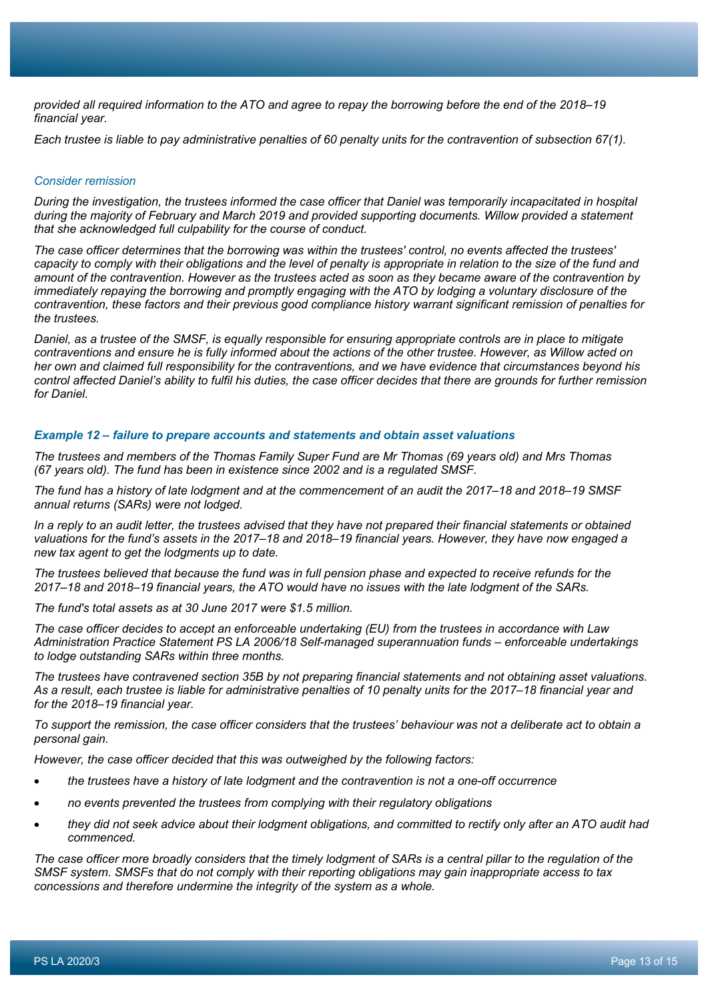*provided all required information to the ATO and agree to repay the borrowing before the end of the 2018–19 financial year.*

*Each trustee is liable to pay administrative penalties of 60 penalty units for the contravention of subsection 67(1).* 

#### *Consider remission*

*During the investigation, the trustees informed the case officer that Daniel was temporarily incapacitated in hospital during the majority of February and March 2019 and provided supporting documents. Willow provided a statement that she acknowledged full culpability for the course of conduct.*

*The case officer determines that the borrowing was within the trustees' control, no events affected the trustees' capacity to comply with their obligations and the level of penalty is appropriate in relation to the size of the fund and amount of the contravention. However as the trustees acted as soon as they became aware of the contravention by immediately repaying the borrowing and promptly engaging with the ATO by lodging a voluntary disclosure of the contravention, these factors and their previous good compliance history warrant significant remission of penalties for the trustees.*

*Daniel, as a trustee of the SMSF, is equally responsible for ensuring appropriate controls are in place to mitigate contraventions and ensure he is fully informed about the actions of the other trustee. However, as Willow acted on her own and claimed full responsibility for the contraventions, and we have evidence that circumstances beyond his control affected Daniel's ability to fulfil his duties, the case officer decides that there are grounds for further remission for Daniel.*

#### *Example 12 – failure to prepare accounts and statements and obtain asset valuations*

*The trustees and members of the Thomas Family Super Fund are Mr Thomas (69 years old) and Mrs Thomas (67 years old). The fund has been in existence since 2002 and is a regulated SMSF.*

*The fund has a history of late lodgment and at the commencement of an audit the 2017–18 and 2018–19 SMSF annual returns (SARs) were not lodged.*

*In a reply to an audit letter, the trustees advised that they have not prepared their financial statements or obtained valuations for the fund's assets in the 2017–18 and 2018–19 financial years. However, they have now engaged a new tax agent to get the lodgments up to date.*

*The trustees believed that because the fund was in full pension phase and expected to receive refunds for the 2017–18 and 2018–19 financial years, the ATO would have no issues with the late lodgment of the SARs.*

*The fund's total assets as at 30 June 2017 were \$1.5 million.*

*The case officer decides to accept an enforceable undertaking (EU) from the trustees in accordance with Law Administration Practice Statement PS LA 2006/18 Self-managed superannuation funds – enforceable undertakings to lodge outstanding SARs within three months.*

*The trustees have contravened section 35B by not preparing financial statements and not obtaining asset valuations. As a result, each trustee is liable for administrative penalties of 10 penalty units for the 2017–18 financial year and for the 2018–19 financial year.*

*To support the remission, the case officer considers that the trustees' behaviour was not a deliberate act to obtain a personal gain.*

*However, the case officer decided that this was outweighed by the following factors:*

- *the trustees have a history of late lodgment and the contravention is not a one-off occurrence*
- *no events prevented the trustees from complying with their regulatory obligations*
- *they did not seek advice about their lodgment obligations, and committed to rectify only after an ATO audit had commenced.*

*The case officer more broadly considers that the timely lodgment of SARs is a central pillar to the regulation of the SMSF system. SMSFs that do not comply with their reporting obligations may gain inappropriate access to tax concessions and therefore undermine the integrity of the system as a whole.*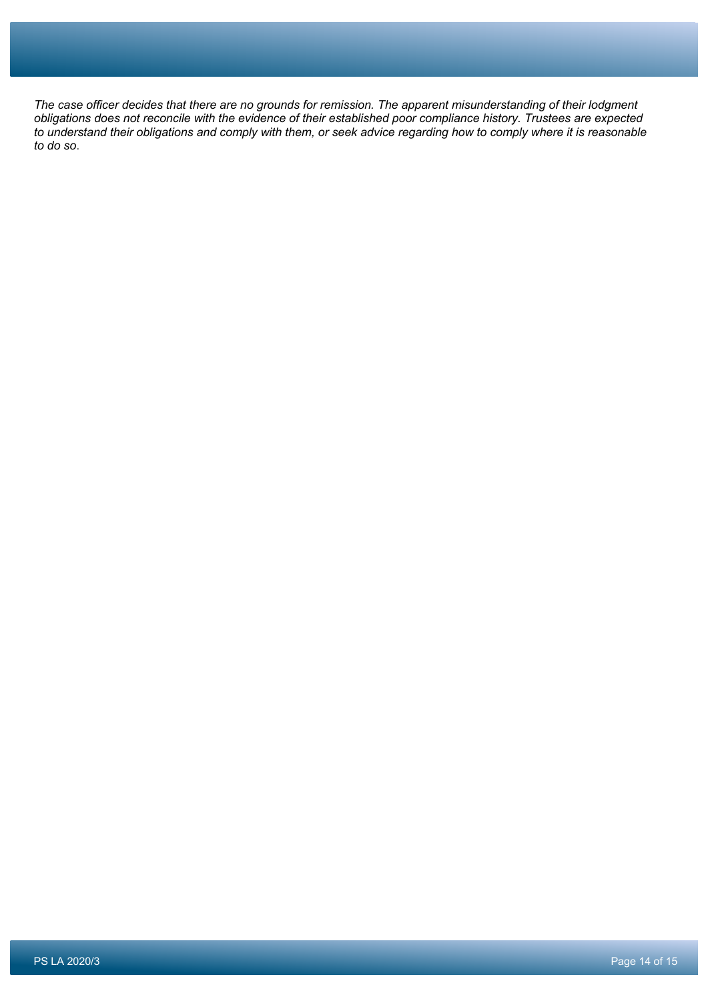*The case officer decides that there are no grounds for remission. The apparent misunderstanding of their lodgment obligations does not reconcile with the evidence of their established poor compliance history. Trustees are expected to understand their obligations and comply with them, or seek advice regarding how to comply where it is reasonable to do so*.